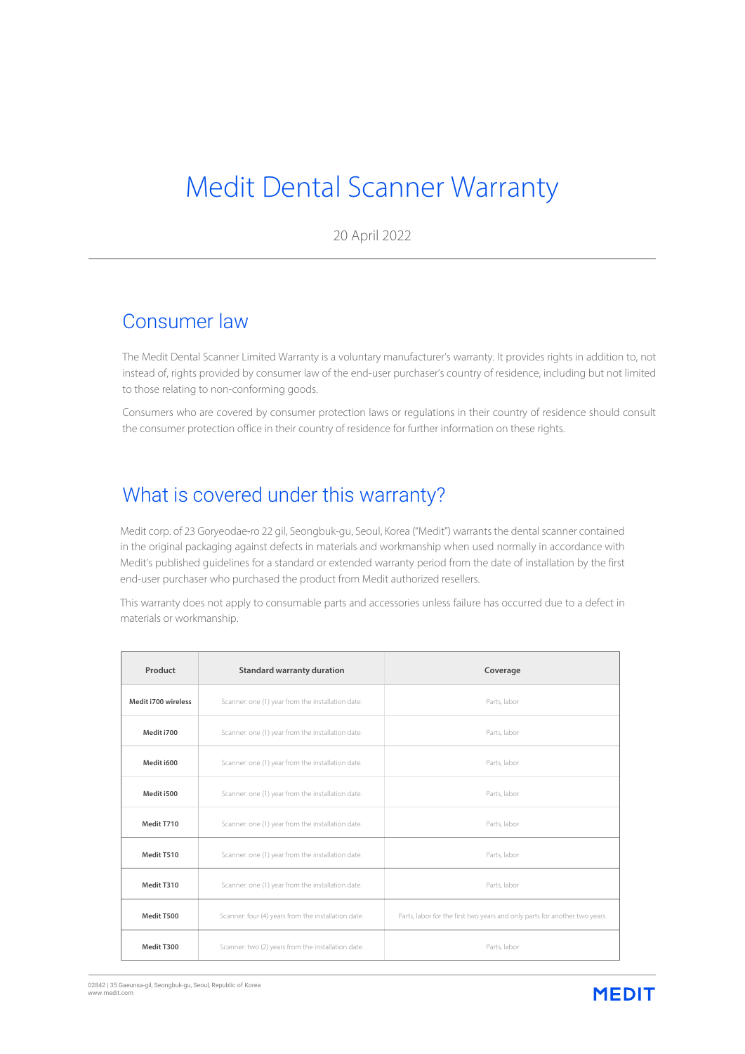# Medit Dental Scanner Warranty

20 April 2022

#### Consumer law

The Medit Dental Scanner Limited Warranty is a voluntary manufacturer's warranty. It provides rights in addition to, not instead of, rights provided by consumer law of the end-user purchaser's country of residence, including but not limited to those relating to non-conforming goods.

Consumers who are covered by consumer protection laws or regulations in their country of residence should consult the consumer protection office in their country of residence for further information on these rights.

# What is covered under this warranty?

Medit corp. of 23 Goryeodae-ro 22 gil, Seongbuk-gu, Seoul, Korea ("Medit") warrants the dental scanner contained in the original packaging against defects in materials and workmanship when used normally in accordance with Medit's published guidelines for a standard or extended warranty period from the date of installation by the first end-user purchaser who purchased the product from Medit authorized resellers.

This warranty does not apply to consumable parts and accessories unless failure has occurred due to a defect in materials or workmanship.

| Product             | <b>Standard warranty duration</b>                   | Coverage                                                                   |
|---------------------|-----------------------------------------------------|----------------------------------------------------------------------------|
| Medit i700 wireless | Scanner: one (1) year from the installation date.   | Parts, labor                                                               |
| Medit i700          | Scanner: one (1) year from the installation date.   | Parts, labor                                                               |
| Medit i600          | Scanner: one (1) year from the installation date.   | Parts, labor                                                               |
| Medit i500          | Scanner: one (1) year from the installation date.   | Parts, labor                                                               |
| Medit T710          | Scanner: one (1) year from the installation date.   | Parts, labor                                                               |
| Medit T510          | Scanner: one (1) year from the installation date.   | Parts, labor                                                               |
| Medit T310          | Scanner: one (1) year from the installation date.   | Parts, labor                                                               |
| Medit T500          | Scanner: four (4) years from the installation date. | Parts, labor for the first two years and only parts for another two years. |
| Medit T300          | Scanner: two (2) years from the installation date.  | Parts, labor                                                               |

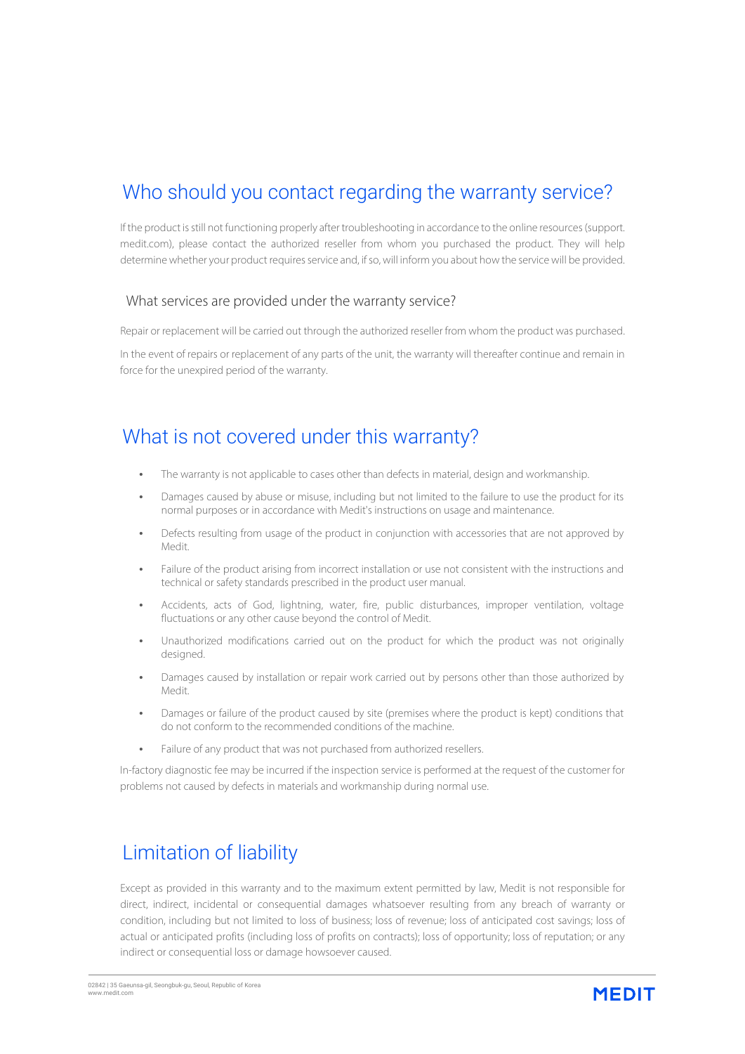# Who should you contact regarding the warranty service?

If the product isstill not functioning properly after troubleshooting in accordance to the online resources(support. medit.com), please contact the authorized reseller from whom you purchased the product. They will help determine whether your product requires service and, if so, will inform you about how the service will be provided.

#### What services are provided under the warranty service?

Repair or replacement will be carried out through the authorized reseller from whom the product was purchased.

In the event of repairs or replacement of any parts of the unit, the warranty will thereafter continue and remain in force for the unexpired period of the warranty.

#### What is not covered under this warranty?

- The warranty is not applicable to cases other than defects in material, design and workmanship.
- Damages caused by abuse or misuse, including but not limited to the failure to use the product for its normal purposes or in accordance with Medit's instructions on usage and maintenance.
- Defects resulting from usage of the product in conjunction with accessories that are not approved by Medit.
- Failure of the product arising from incorrect installation or use not consistent with the instructions and technical or safety standards prescribed in the product user manual.
- Accidents, acts of God, lightning, water, fire, public disturbances, improper ventilation, voltage fluctuations or any other cause beyond the control of Medit.
- Unauthorized modifications carried out on the product for which the product was not originally designed.
- Damages caused by installation or repair work carried out by persons other than those authorized by Medit.
- Damages or failure of the product caused by site (premises where the product is kept) conditions that do not conform to the recommended conditions of the machine.
- Failure of any product that was not purchased from authorized resellers.

In-factory diagnostic fee may be incurred if the inspection service is performed at the request of the customer for problems not caused by defects in materials and workmanship during normal use.

### Limitation of liability

Except as provided in this warranty and to the maximum extent permitted by law, Medit is not responsible for direct, indirect, incidental or consequential damages whatsoever resulting from any breach of warranty or condition, including but not limited to loss of business; loss of revenue; loss of anticipated cost savings; loss of actual or anticipated profits (including loss of profits on contracts); loss of opportunity; loss of reputation; or any indirect or consequential loss or damage howsoever caused.